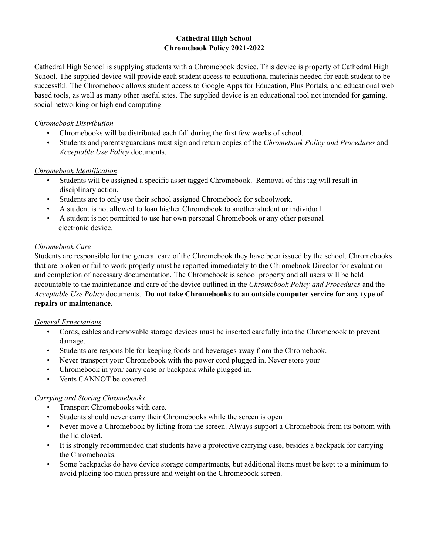#### **Cathedral High School Chromebook Policy 2021-2022**

Cathedral High School is supplying students with a Chromebook device. This device is property of Cathedral High School. The supplied device will provide each student access to educational materials needed for each student to be successful. The Chromebook allows student access to Google Apps for Education, Plus Portals, and educational web based tools, as well as many other useful sites. The supplied device is an educational tool not intended for gaming, social networking or high end computing

### *Chromebook Distribution*

- Chromebooks will be distributed each fall during the first few weeks of school.
- Students and parents/guardians must sign and return copies of the *Chromebook Policy and Procedures* and *Acceptable Use Policy* documents.

# *Chromebook Identification*

- Students will be assigned a specific asset tagged Chromebook. Removal of this tag will result in disciplinary action.
- Students are to only use their school assigned Chromebook for schoolwork.
- A student is not allowed to loan his/her Chromebook to another student or individual.
- A student is not permitted to use her own personal Chromebook or any other personal electronic device.

# *Chromebook Care*

Students are responsible for the general care of the Chromebook they have been issued by the school. Chromebooks that are broken or fail to work properly must be reported immediately to the Chromebook Director for evaluation and completion of necessary documentation. The Chromebook is school property and all users will be held accountable to the maintenance and care of the device outlined in the *Chromebook Policy and Procedures* and the *Acceptable Use Policy* documents. **Do not take Chromebooks to an outside computer service for any type of repairs or maintenance.**

#### *General Expectations*

- Cords, cables and removable storage devices must be inserted carefully into the Chromebook to prevent damage.
- Students are responsible for keeping foods and beverages away from the Chromebook.
- Never transport your Chromebook with the power cord plugged in. Never store your
- Chromebook in your carry case or backpack while plugged in.
- Vents CANNOT be covered.

#### *Carrying and Storing Chromebooks*

- Transport Chromebooks with care.
- Students should never carry their Chromebooks while the screen is open
- Never move a Chromebook by lifting from the screen. Always support a Chromebook from its bottom with the lid closed.
- It is strongly recommended that students have a protective carrying case, besides a backpack for carrying the Chromebooks.
- Some backpacks do have device storage compartments, but additional items must be kept to a minimum to avoid placing too much pressure and weight on the Chromebook screen.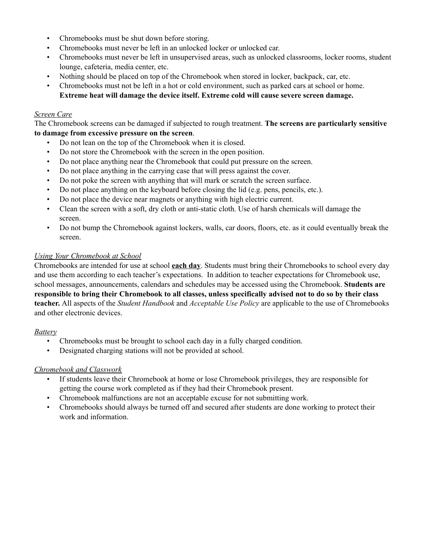- Chromebooks must be shut down before storing.
- Chromebooks must never be left in an unlocked locker or unlocked car.
- Chromebooks must never be left in unsupervised areas, such as unlocked classrooms, locker rooms, student lounge, cafeteria, media center, etc.
- Nothing should be placed on top of the Chromebook when stored in locker, backpack, car, etc.
- Chromebooks must not be left in a hot or cold environment, such as parked cars at school or home. **Extreme heat will damage the device itself. Extreme cold will cause severe screen damage.**

#### *Screen Care*

The Chromebook screens can be damaged if subjected to rough treatment. **The screens are particularly sensitive to damage from excessive pressure on the screen**.

- Do not lean on the top of the Chromebook when it is closed.
- Do not store the Chromebook with the screen in the open position.
- Do not place anything near the Chromebook that could put pressure on the screen.
- Do not place anything in the carrying case that will press against the cover.
- Do not poke the screen with anything that will mark or scratch the screen surface.
- Do not place anything on the keyboard before closing the lid (e.g. pens, pencils, etc.).
- Do not place the device near magnets or anything with high electric current.
- Clean the screen with a soft, dry cloth or anti-static cloth. Use of harsh chemicals will damage the screen.
- Do not bump the Chromebook against lockers, walls, car doors, floors, etc. as it could eventually break the screen.

#### *Using Your Chromebook at School*

Chromebooks are intended for use at school **each day**. Students must bring their Chromebooks to school every day and use them according to each teacher's expectations. In addition to teacher expectations for Chromebook use, school messages, announcements, calendars and schedules may be accessed using the Chromebook. **Students are** responsible to bring their Chromebook to all classes, unless specifically advised not to do so by their class **teacher.** All aspects of the *Student Handbook* and *Acceptable Use Policy* are applicable to the use of Chromebooks and other electronic devices.

#### *Battery*

- Chromebooks must be brought to school each day in a fully charged condition.
- Designated charging stations will not be provided at school.

#### *Chromebook and Classwork*

- If students leave their Chromebook at home or lose Chromebook privileges, they are responsible for getting the course work completed as if they had their Chromebook present.
- Chromebook malfunctions are not an acceptable excuse for not submitting work.
- Chromebooks should always be turned off and secured after students are done working to protect their work and information.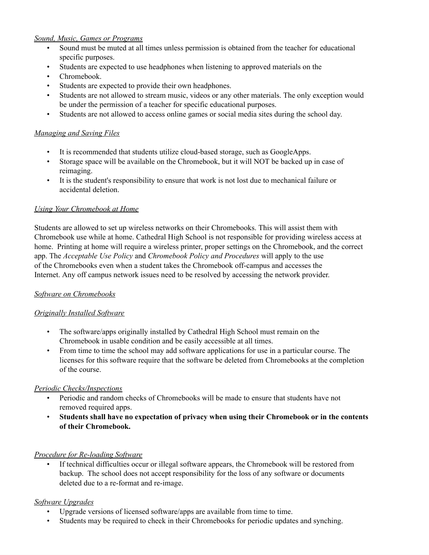### *Sound, Music, Games or Programs*

- Sound must be muted at all times unless permission is obtained from the teacher for educational specific purposes.
- Students are expected to use headphones when listening to approved materials on the
- Chromebook.
- Students are expected to provide their own headphones.
- Students are not allowed to stream music, videos or any other materials. The only exception would be under the permission of a teacher for specific educational purposes.
- Students are not allowed to access online games or social media sites during the school day.

### *Managing and Saving Files*

- It is recommended that students utilize cloud-based storage, such as GoogleApps.
- Storage space will be available on the Chromebook, but it will NOT be backed up in case of reimaging.
- It is the student's responsibility to ensure that work is not lost due to mechanical failure or accidental deletion.

#### *Using Your Chromebook at Home*

Students are allowed to set up wireless networks on their Chromebooks. This will assist them with Chromebook use while at home. Cathedral High School is not responsible for providing wireless access at home. Printing at home will require a wireless printer, proper settings on the Chromebook, and the correct app. The *Acceptable Use Policy* and *Chromebook Policy and Procedures* will apply to the use of the Chromebooks even when a student takes the Chromebook off-campus and accesses the Internet. Any off campus network issues need to be resolved by accessing the network provider.

#### *Software on Chromebooks*

#### *Originally Installed Software*

- The software/apps originally installed by Cathedral High School must remain on the Chromebook in usable condition and be easily accessible at all times.
- From time to time the school may add software applications for use in a particular course. The licenses for this software require that the software be deleted from Chromebooks at the completion of the course.

#### *Periodic Checks/Inspections*

- Periodic and random checks of Chromebooks will be made to ensure that students have not removed required apps.
- **Students shall have no expectation of privacy when using their Chromebook or in the contents of their Chromebook.**

#### *Procedure for Re-loading Software*

• If technical difficulties occur or illegal software appears, the Chromebook will be restored from backup. The school does not accept responsibility for the loss of any software or documents deleted due to a re-format and re-image.

# *Software Upgrades*

- Upgrade versions of licensed software/apps are available from time to time.
- Students may be required to check in their Chromebooks for periodic updates and synching.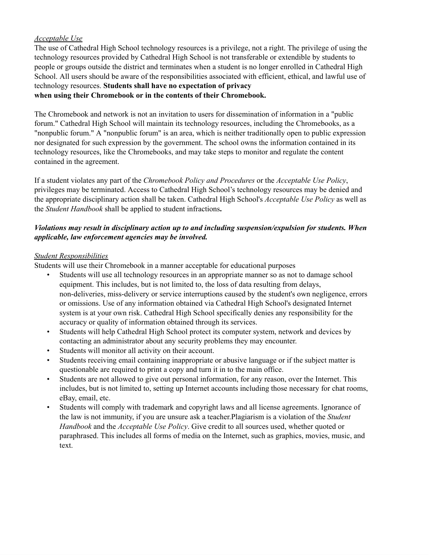### *Acceptable Use*

The use of Cathedral High School technology resources is a privilege, not a right. The privilege of using the technology resources provided by Cathedral High School is not transferable or extendible by students to people or groups outside the district and terminates when a student is no longer enrolled in Cathedral High School. All users should be aware of the responsibilities associated with efficient, ethical, and lawful use of technology resources. **Students shall have no expectation of privacy when using their Chromebook or in the contents of their Chromebook.**

The Chromebook and network is not an invitation to users for dissemination of information in a "public forum." Cathedral High School will maintain its technology resources, including the Chromebooks, as a "nonpublic forum." A "nonpublic forum" is an area, which is neither traditionally open to public expression nor designated for such expression by the government. The school owns the information contained in its technology resources, like the Chromebooks, and may take steps to monitor and regulate the content contained in the agreement.

If a student violates any part of the *Chromebook Policy and Procedures* or the *Acceptable Use Policy*, privileges may be terminated. Access to Cathedral High School's technology resources may be denied and the appropriate disciplinary action shall be taken. Cathedral High School's *Acceptable Use Policy* as well as the *Student Handbook* shall be applied to student infractions**.**

### *Violations may result in disciplinary action up to and including suspension/expulsion for students. When applicable, law enforcement agencies may be involved.*

#### *Student Responsibilities*

Students will use their Chromebook in a manner acceptable for educational purposes

- Students will use all technology resources in an appropriate manner so as not to damage school equipment. This includes, but is not limited to, the loss of data resulting from delays, non-deliveries, miss-delivery or service interruptions caused by the student's own negligence, errors or omissions. Use of any information obtained via Cathedral High School's designated Internet system is at your own risk. Cathedral High School specifically denies any responsibility for the accuracy or quality of information obtained through its services.
- Students will help Cathedral High School protect its computer system, network and devices by contacting an administrator about any security problems they may encounter.
- Students will monitor all activity on their account.
- Students receiving email containing inappropriate or abusive language or if the subject matter is questionable are required to print a copy and turn it in to the main office.
- Students are not allowed to give out personal information, for any reason, over the Internet. This includes, but is not limited to, setting up Internet accounts including those necessary for chat rooms, eBay, email, etc.
- Students will comply with trademark and copyright laws and all license agreements. Ignorance of the law is not immunity, if you are unsure ask a teacher.Plagiarism is a violation of the *Student Handbook* and the *Acceptable Use Policy*. Give credit to all sources used, whether quoted or paraphrased. This includes all forms of media on the Internet, such as graphics, movies, music, and text.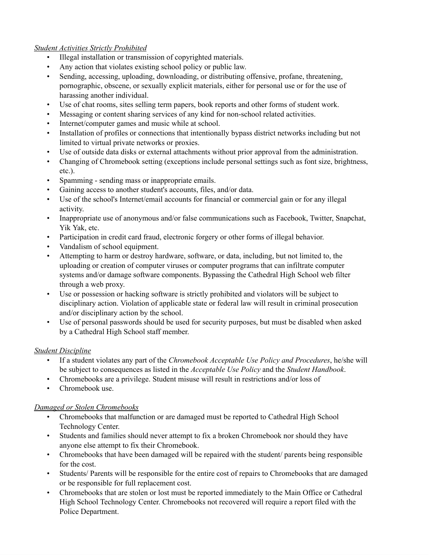### *Student Activities Strictly Prohibited*

- Illegal installation or transmission of copyrighted materials.
- Any action that violates existing school policy or public law.
- Sending, accessing, uploading, downloading, or distributing offensive, profane, threatening, pornographic, obscene, or sexually explicit materials, either for personal use or for the use of harassing another individual.
- Use of chat rooms, sites selling term papers, book reports and other forms of student work.
- Messaging or content sharing services of any kind for non-school related activities.
- Internet/computer games and music while at school.
- Installation of profiles or connections that intentionally bypass district networks including but not limited to virtual private networks or proxies.
- Use of outside data disks or external attachments without prior approval from the administration.
- Changing of Chromebook setting (exceptions include personal settings such as font size, brightness, etc.).
- Spamming sending mass or inappropriate emails.
- Gaining access to another student's accounts, files, and/or data.
- Use of the school's Internet/email accounts for financial or commercial gain or for any illegal activity.
- Inappropriate use of anonymous and/or false communications such as Facebook, Twitter, Snapchat, Yik Yak, etc.
- Participation in credit card fraud, electronic forgery or other forms of illegal behavior.
- Vandalism of school equipment.
- Attempting to harm or destroy hardware, software, or data, including, but not limited to, the uploading or creation of computer viruses or computer programs that can infiltrate computer systems and/or damage software components. Bypassing the Cathedral High School web filter through a web proxy.
- Use or possession or hacking software is strictly prohibited and violators will be subject to disciplinary action. Violation of applicable state or federal law will result in criminal prosecution and/or disciplinary action by the school.
- Use of personal passwords should be used for security purposes, but must be disabled when asked by a Cathedral High School staff member.

# *Student Discipline*

- If a student violates any part of the *Chromebook Acceptable Use Policy and Procedures*, he/she will be subject to consequences as listed in the *Acceptable Use Policy* and the *Student Handbook*.
- Chromebooks are a privilege. Student misuse will result in restrictions and/or loss of
- Chromebook use.

# *Damaged or Stolen Chromebooks*

- Chromebooks that malfunction or are damaged must be reported to Cathedral High School Technology Center.
- Students and families should never attempt to fix a broken Chromebook nor should they have anyone else attempt to fix their Chromebook.
- Chromebooks that have been damaged will be repaired with the student/ parents being responsible for the cost.
- Students/ Parents will be responsible for the entire cost of repairs to Chromebooks that are damaged or be responsible for full replacement cost.
- Chromebooks that are stolen or lost must be reported immediately to the Main Office or Cathedral High School Technology Center. Chromebooks not recovered will require a report filed with the Police Department.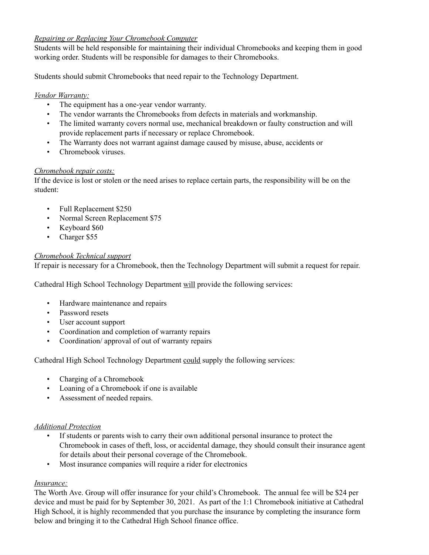### *Repairing or Replacing Your Chromebook Computer*

Students will be held responsible for maintaining their individual Chromebooks and keeping them in good working order. Students will be responsible for damages to their Chromebooks.

Students should submit Chromebooks that need repair to the Technology Department.

### *Vendor Warranty:*

- The equipment has a one-year vendor warranty.
- The vendor warrants the Chromebooks from defects in materials and workmanship.
- The limited warranty covers normal use, mechanical breakdown or faulty construction and will provide replacement parts if necessary or replace Chromebook.
- The Warranty does not warrant against damage caused by misuse, abuse, accidents or
- Chromebook viruses.

# *Chromebook repair costs:*

If the device is lost or stolen or the need arises to replace certain parts, the responsibility will be on the student:

- Full Replacement \$250
- Normal Screen Replacement \$75
- Keyboard \$60
- Charger \$55

# *Chromebook Technical support*

If repair is necessary for a Chromebook, then the Technology Department will submit a request for repair.

Cathedral High School Technology Department will provide the following services:

- Hardware maintenance and repairs
- Password resets
- User account support
- Coordination and completion of warranty repairs
- Coordination/ approval of out of warranty repairs

Cathedral High School Technology Department could supply the following services:

- Charging of a Chromebook
- Loaning of a Chromebook if one is available
- Assessment of needed repairs.

#### *Additional Protection*

- If students or parents wish to carry their own additional personal insurance to protect the Chromebook in cases of theft, loss, or accidental damage, they should consult their insurance agent for details about their personal coverage of the Chromebook.
- Most insurance companies will require a rider for electronics

# *Insurance:*

The Worth Ave. Group will offer insurance for your child's Chromebook. The annual fee will be \$24 per device and must be paid for by September 30, 2021. As part of the 1:1 Chromebook initiative at Cathedral High School, it is highly recommended that you purchase the insurance by completing the insurance form below and bringing it to the Cathedral High School finance office.